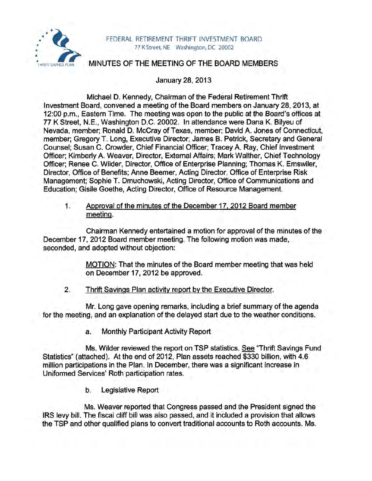

### FEDERAL RETIREMENT THRIFT INVESTMENT BOARD 77 K Street, NE Washington, DC 20002

# MINUTES OF THE MEETING OF THE BOARD MEMBERS

January 28, 2013

Michael D. Kennedy, Chairman of the Federal Retirement Thrift Investment Board, convened a meeting of the Board members on January 28, 2013, at 12:00 p.m., Eastern Time. The meeting was open to the public at the Board's offices at 77 K Street, N.E., Washington D.C. 20002. In attendance were Dana K. Bilyeu of Nevada, member; Ronald D. McCray of Texas, member; David A. Jones of Connecticut, member; Gregory T. Long, Executive Director; James B. Petrick, Secretary and General Counsel; Susan C. Crowder, Chief Financial Officer; Tracey A. Ray, Chief Investment Officer; Kimberly A. Weaver, Director, External Affairs; Mark Walther, Chief Technology Officer; Renee C. Wilder, Director, Office of Enterprise Planning; Thomas K. Emswiler, Director, Office of Benefits; Anne Beemer, Acting Director, Office of Enterprise Risk Management; Sophie T. Dmuchowski, Acting Director, Office of Communications and Education; Gisile Goethe, Acting Director, Office of Resource Management.

1. Approval of the minutes of the December 17, 2012 Board member meeting.

Chairman Kennedy entertained a motion for approval of the minutes of the December 17,2012 Board member meeting. The following motion was made, seconded, and adopted without objection:

> MOTION: That the minutes of the Board member meeting that was held on December 17,2012 be approved.

2. Thrift Savings Plan activity report by the Executive Director.

Mr. Long gave opening remarks, including a brief summary of the agenda for the meeting, and an explanation of the delayed start due to the weather conditions.

a. Monthly Participant Activity Report

Ms. Wilder reviewed the report on TSP statistics. See "Thrift Savings Fund Statistics" (attached). At the end of 2012, Plan assets reached \$330 billion, with 4.6 million participations in the Plan. In December, there was a significant increase in Uniformed Services' Roth participation rates.

b. Legislative Report

Ms. Weaver reported that Congress passed and the President signed the IRS levy bill. The fiscal cliff bill was also passed, and it included a provision that allows the TSP and other qualified plans to convert traditional accounts to Roth accounts. Ms.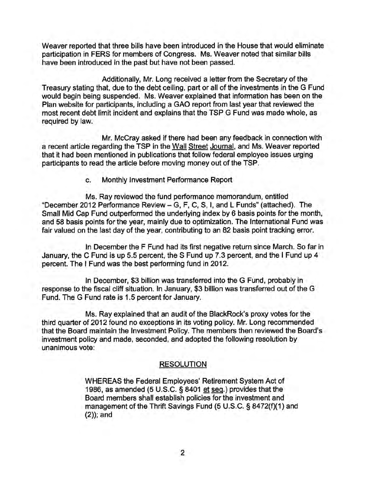Weaver reported that three bills have been introduced in the House that would eliminate participation in FERS for members of Congress. Ms. Weaver noted that similar bills have been introduced in the past but have not been passed.

Additionally, Mr. Long received a letter from the Secretary of the Treasury stating that, due to the debt ceiling, part or all of the investments in the G Fund would begin being suspended. Ms. Weaver explained that information has been on the Plan website for participants, including a GAO report from last year that reviewed the most recent debt limit incident and explains that the TSP G Fund was made whole, as required by law.

Mr. McCray asked if there had been any feedback in connection with a recent article regarding the TSP in the Wall Street Journal, and Ms. Weaver reported that it had been mentioned in publications that follow federal employee issues urging participants to read the article before moving money out of the TSP.

c. Monthly Investment Performance Report

Ms. Ray reviewed the fund performance memorandum, entitled "December 2012 Performance Review - G, F, C, S, I, and L Funds" (attached). The Small Mid Cap Fund outperformed the underlying index by 6 basis points for the month, and 58 basis points for the year, mainly due to optimization. The International Fund was fair valued on the last day of the year, contributing to an 82 basis point tracking error.

In December the F Fund had its first negative return since March. So far in January, the C Fund is up 5.5 percent, the S Fund up 7.3 percent, and the I Fund up 4 percent. The I Fund was the best performing fund in 2012.

In December, \$3 billion was transferred into the G Fund, probably in response to the fiscal cliff situation. In January, \$3 billion was transferred out of the G Fund. The G Fund rate is 1.5 percent for January.

Ms. Ray explained that an audit of the BlackRock's proxy votes for the third quarter of 2012 found no exceptions in its voting policy. Mr. Long recommended that the Board maintain the Investment Policy. The members then reviewed the Board's investment policy and made, seconded, and adopted the following resolution by unanimous vote:

## RESOLUTION

WHEREAS the Federal Employees' Retirement System Act of 1986, as amended (5 U.S.C. § 8401 et seq.) provides that the Board members shall establish policies for the investment and management of the Thrift Savings Fund (5 U.S.C. § 8472(f)(1) and (2)); and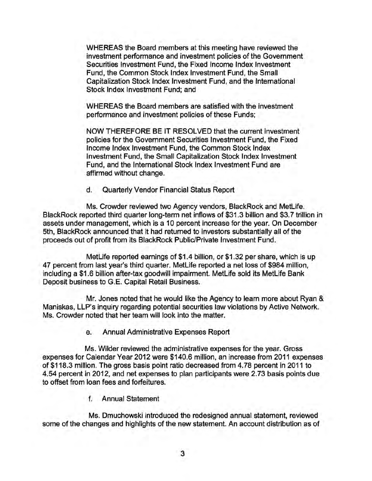WHEREAS the Board members at this meeting have reviewed the investment performance and investment policies of the Government Securities Investment Fund, the Fixed Income Index Investment Fund, the Common Stock Index Investment Fund, the Small Capitalization Stock Index Investment Fund, and the International Stock Index Investment Fund; and

WHEREAS the Board members are satisfied with the investment performance and investment policies of these Funds;

NOW THEREFORE BE IT RESOLVED that the current investment policies for the Government Securities Investment Fund, the Fixed Income Index Investment Fund, the Common Stock Index Investment Fund, the Small Capitalization Stock Index Investment Fund, and the International Stock Index Investment Fund are affirmed without change.

d. Quarterly Vendor Financial Status Report

Ms. Crowder reviewed two Agency vendors, BlackRock and MetLife. BlackRock reported third quarter long-term net inflows of \$31.3 billion and \$3.7 trillion in assets under management, which is a 10 percent increase for the year. On December 5th, BlackRock announced that it had returned to investors substantially all of the proceeds out of profit from its BlackRock PUblic/Private Investment Fund.

MetLife reported earnings of \$1.4 billion, or \$1.32 per share, which is up 47 percent from last year's third quarter. MetLife reported a net loss of \$984 million, including a \$1.6 billion after-tax goodwill impairment. MetLife sold its MetLife Bank Deposit business to G.E. Capital Retail Business.

Mr. Jones noted that he would like the Agency to learn more about Ryan & Maniskas, LLP's inquiry regarding potential securities law violations by Active Network. Ms. Crowder noted that her team will look into the matter.

e. Annual Administrative Expenses Report

Ms. Wilder reviewed the administrative expenses for the year. Gross expenses for Calendar Year 2012 were \$140.6 million, an increase from 2011 expenses of \$118.3 million. The gross basis point ratio decreased from 4.78 percent in 2011 to 4.54 percent in 2012, and net expenses to plan participants were 2.73 basis points due to offset from loan fees and forfeitures.

f. Annual Statement

Ms. Dmuchowski introduced the redesigned annual statement, reviewed some of the changes and highlights of the new statement. An account distribution as of